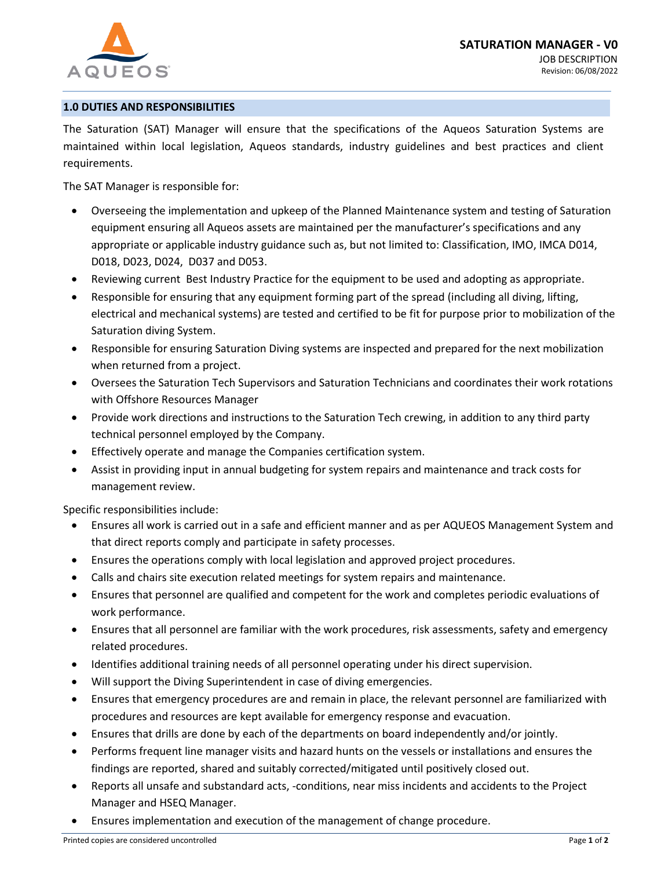

### **1.0 DUTIES AND RESPONSIBILITIES**

The Saturation (SAT) Manager will ensure that the specifications of the Aqueos Saturation Systems are maintained within local legislation, Aqueos standards, industry guidelines and best practices and client requirements.

The SAT Manager is responsible for:

- Overseeing the implementation and upkeep of the Planned Maintenance system and testing of Saturation equipment ensuring all Aqueos assets are maintained per the manufacturer's specifications and any appropriate or applicable industry guidance such as, but not limited to: Classification, IMO, IMCA D014, D018, D023, D024, D037 and D053.
- Reviewing current Best Industry Practice for the equipment to be used and adopting as appropriate.
- Responsible for ensuring that any equipment forming part of the spread (including all diving, lifting, electrical and mechanical systems) are tested and certified to be fit for purpose prior to mobilization of the Saturation diving System.
- Responsible for ensuring Saturation Diving systems are inspected and prepared for the next mobilization when returned from a project.
- Oversees the Saturation Tech Supervisors and Saturation Technicians and coordinates their work rotations with Offshore Resources Manager
- Provide work directions and instructions to the Saturation Tech crewing, in addition to any third party technical personnel employed by the Company.
- Effectively operate and manage the Companies certification system.
- Assist in providing input in annual budgeting for system repairs and maintenance and track costs for management review.

Specific responsibilities include:

- Ensures all work is carried out in a safe and efficient manner and as per AQUEOS Management System and that direct reports comply and participate in safety processes.
- Ensures the operations comply with local legislation and approved project procedures.
- Calls and chairs site execution related meetings for system repairs and maintenance.
- Ensures that personnel are qualified and competent for the work and completes periodic evaluations of work performance.
- Ensures that all personnel are familiar with the work procedures, risk assessments, safety and emergency related procedures.
- Identifies additional training needs of all personnel operating under his direct supervision.
- Will support the Diving Superintendent in case of diving emergencies.
- Ensures that emergency procedures are and remain in place, the relevant personnel are familiarized with procedures and resources are kept available for emergency response and evacuation.
- Ensures that drills are done by each of the departments on board independently and/or jointly.
- Performs frequent line manager visits and hazard hunts on the vessels or installations and ensures the findings are reported, shared and suitably corrected/mitigated until positively closed out.
- Reports all unsafe and substandard acts, -conditions, near miss incidents and accidents to the Project Manager and HSEQ Manager.
- Ensures implementation and execution of the management of change procedure.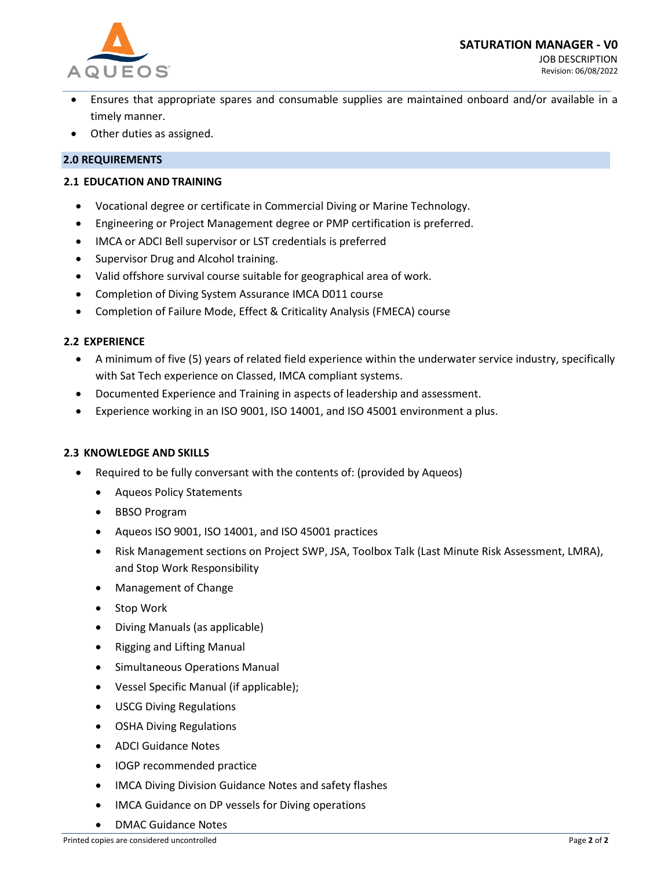

- Ensures that appropriate spares and consumable supplies are maintained onboard and/or available in a timely manner.
- Other duties as assigned.

# **2.0 REQUIREMENTS**

### **2.1 EDUCATION AND TRAINING**

- Vocational degree or certificate in Commercial Diving or Marine Technology.
- Engineering or Project Management degree or PMP certification is preferred.
- IMCA or ADCI Bell supervisor or LST credentials is preferred
- Supervisor Drug and Alcohol training.
- Valid offshore survival course suitable for geographical area of work.
- Completion of Diving System Assurance IMCA D011 course
- Completion of Failure Mode, Effect & Criticality Analysis (FMECA) course

## **2.2 EXPERIENCE**

- A minimum of five (5) years of related field experience within the underwater service industry, specifically with Sat Tech experience on Classed, IMCA compliant systems.
- Documented Experience and Training in aspects of leadership and assessment.
- Experience working in an ISO 9001, ISO 14001, and ISO 45001 environment a plus.

## **2.3 KNOWLEDGE AND SKILLS**

- Required to be fully conversant with the contents of: (provided by Aqueos)
	- Aqueos Policy Statements
	- BBSO Program
	- Aqueos ISO 9001, ISO 14001, and ISO 45001 practices
	- Risk Management sections on Project SWP, JSA, Toolbox Talk (Last Minute Risk Assessment, LMRA), and Stop Work Responsibility
	- Management of Change
	- Stop Work
	- Diving Manuals (as applicable)
	- Rigging and Lifting Manual
	- Simultaneous Operations Manual
	- Vessel Specific Manual (if applicable);
	- USCG Diving Regulations
	- OSHA Diving Regulations
	- ADCI Guidance Notes
	- IOGP recommended practice
	- IMCA Diving Division Guidance Notes and safety flashes
	- IMCA Guidance on DP vessels for Diving operations
	- DMAC Guidance Notes